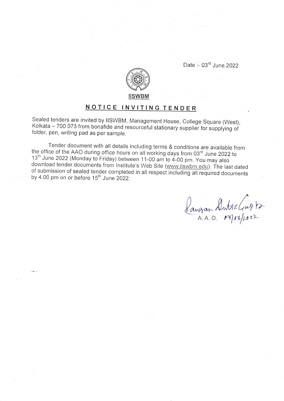Date :- 03<sup>rd</sup> June 2022



## NOTICE INVITING TENDER

Sealed tenders are invited by IISWBM, Management House, College Square (West), Kolkata - 700 073 from bonafide and resourceful stationary supplier for supplying of folder, pen, writing pad as per sample.

Tender document with all details including terms & conditions are available from the office of the AAO during office hours on all working days from 03'd June 2022 to 13<sup>th</sup> June 2022 (Monday to Friday) between 11-00 am to 4-00 pm. You may also<br>download tender documents from Institute's Web Site (www.iiswbm.edu). The last dated of submission of sealed tender completed in all respect including all required documents by 4.00 pm on or before  $15<sup>th</sup>$  June 2022.

Pangan Sutthe Gupto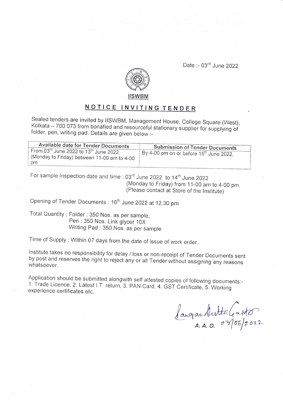Date :- 03<sup>rd</sup> June 2022



## NOTICE INVITING TENDER

Sealed tenders are invited by IISWBM, Management House, College Square (West), Kolkata – 700 073 from bonafied and resourceful stationary supplier for supplying of folder, pen, writing pad. Details are given below :-

|  | Available date for Tender Documents<br>From 03rd June 2022 to 13th June 2022<br>(Monday to Friday) between 11-00 am to 4-00<br>pm | <b>Submission of Tender Documents</b><br>By 4-00 pm on or before 15 <sup>th</sup> June 2022. |
|--|-----------------------------------------------------------------------------------------------------------------------------------|----------------------------------------------------------------------------------------------|
|--|-----------------------------------------------------------------------------------------------------------------------------------|----------------------------------------------------------------------------------------------|

(Monday to Friday) from 11-00 am to 4\_00 pm. (Please contact at Store of the lnstitute) For sample Inspection date and time : 03<sup>rd</sup> June 2022 to 14<sup>th</sup> June 2022

Opening of Tender Documents: 16<sup>th</sup> June 2022 at 12.30 pm

Total Quantity ; Folder : 350 Nos. as per sample, pen : 350 Nos. Link glycer 10X Writing Pad : 350 Nos. as per sample

Time of supply : within 07 days from the date of issue of work order.

Institute takes no responsibility for delay / loss or non-receipt of Tender Documents sent<br>by post and reserves the right to reject any or all Tender without assigning any reasons<br>whatsoever.

Application should be submitted alongwith self attested copies of following documents:-<br>1. Trade Licence, 2. Latest I.T. return, 3. PAN Card, 4. GST Certificate, 5. Working<br>experience certificates etc.

langan Sutta Casto  $A. A. O.$   $a \sqrt[3]{\frac{6}{2022}}$